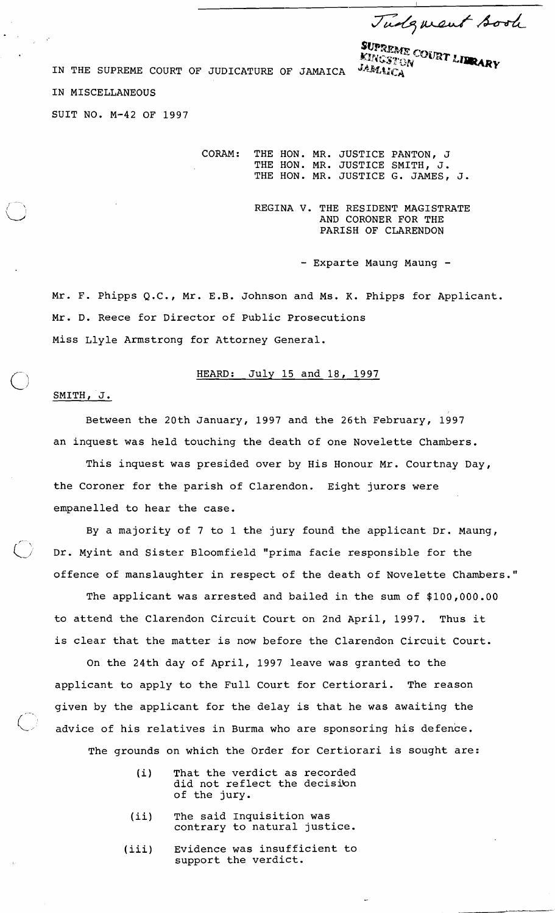Tudgment sook

IN THE SUPREME COURT OF JUDICATURE OF JAMAICA *JAMAME* COURT LIBRARY

IN MISCELLANEOUS

SUIT NO. M-42 OF 1997

CORAM: THE HON. MR. JUSTICE PANTON, J THE HON. MR. JUSTICE SMITH, J. THE HON. MR. JUSTICE G. JAMES, J.

> REGINA V. THE RESIDENT MAGISTRATE AND CORONER FOR THE PARISH OF CLARENDON

> > - Exparte Maung Maung -

Mr. F. Phipps Q.C., Mr. E.B. Johnson and Ms. K. Phipps for Applicant. Mr. D. Reece for Director of Public Prosecutions Miss Llyle Armstrong for Attorney General.

## HEARD: July 15 and 18, 1997

SMITH, J.

Between the 20th January, 1997 and the 26th February, 1997 an inquest was held touching the death of one Novelette Chambers.

This inquest was presided over by His Honour Mr. Courtnay Day, the Coroner for the parish of Clarendon. Eight jurors were empanelled to hear the case.

By a majority of 7 to 1 the jury found the applicant Dr. Maung, Dr. Myint and Sister Bloomfield "prima facie responsible for the offence of manslaughter in respect of the death of Novelette Chambers."

The applicant was arrested and bailed in the sum of \$100,000.00 to attend the Clarendon Circuit Court on 2nd April, 1997. Thus it is clear that the matter is now before the Clarendon Circuit Court.

On the 24th day of April, 1997 leave was granted to the applicant to apply to the Full Court for Certiorari. The reason given by the applicant for the delay is that he was awaiting the I: advice of his relatives in Burma who are sponsoring his defence. The grounds on which the Order for Certiorari is sought are:

- (i) That the verdict as recorded did not reflect the decisibn of the jury.
- (ii) The said Inquisition was contrary to natural justice.
- (iii) Evidence was insufficient to support the verdict.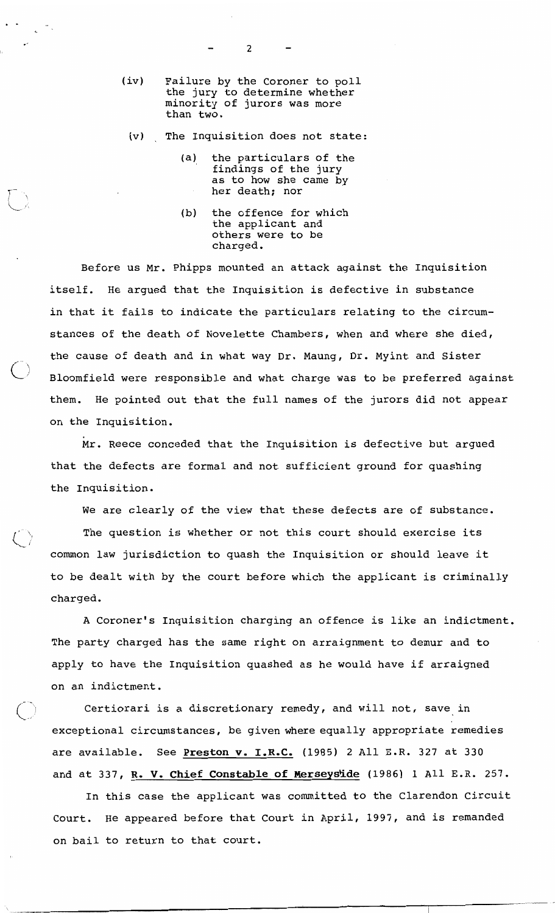$\overline{c}$ 

- $(iv)$ Failure by the Coroner to poll the jury to determine whether<br>minority of jurors was more than two.
- $(v)$ The Inquisition does not state:
	- the particulars of the (a) findings of the jury as to how she came by her death; nor
	- $(b)$ the offence for which the applicant and others were to be charged.

Before us Mr. Phipps mounted an attack against the Inquisition itself. He argued that the Inquisition is defective in substance in that it fails to indicate the particulars relating to the circumstances of the death of Novelette Chambers, when and where she died, the cause of death and in what way Dr. Maung, Dr. Myint and Sister Bloomfield were responsible and what charge was to be preferred against He pointed out that the full names of the jurors did not appear them. on the Inquisition.

Mr. Reece conceded that the Inquisition is defective but argued that the defects are formal and not sufficient ground for quashing the Inquisition.

We are clearly of the view that these defects are of substance.

The question is whether or not this court should exercise its common law jurisdiction to quash the Inquisition or should leave it to be dealt with by the court before which the applicant is criminally charged.

A Coroner's Inquisition charging an offence is like an indictment. The party charged has the same right on arraignment to demur and to apply to have the Inquisition quashed as he would have if arraigned on an indictment.

Certiorari is a discretionary remedy, and will not, save in exceptional circumstances, be given where equally appropriate remedies are available. See Preston v. I.R.C. (1985) 2 All E.R. 327 at 330 and at 337, R. V. Chief Constable of Merseyside (1986) 1 All E.R. 257.

In this case the applicant was committed to the Clarendon Circuit He appeared before that Court in April, 1997, and is remanded Court. on bail to return to that court.